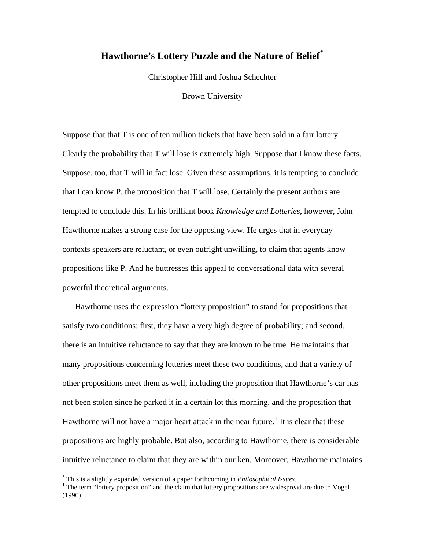# **Hawthorne's Lottery Puzzle and the Nature of Belief[\\*](#page-0-0)**

Christopher Hill and Joshua Schechter

Brown University

Suppose that that T is one of ten million tickets that have been sold in a fair lottery. Clearly the probability that T will lose is extremely high. Suppose that I know these facts. Suppose, too, that T will in fact lose. Given these assumptions, it is tempting to conclude that I can know P, the proposition that T will lose. Certainly the present authors are tempted to conclude this. In his brilliant book *Knowledge and Lotteries*, however, John Hawthorne makes a strong case for the opposing view. He urges that in everyday contexts speakers are reluctant, or even outright unwilling, to claim that agents know propositions like P. And he buttresses this appeal to conversational data with several powerful theoretical arguments.

 Hawthorne uses the expression "lottery proposition" to stand for propositions that satisfy two conditions: first, they have a very high degree of probability; and second, there is an intuitive reluctance to say that they are known to be true. He maintains that many propositions concerning lotteries meet these two conditions, and that a variety of other propositions meet them as well, including the proposition that Hawthorne's car has not been stolen since he parked it in a certain lot this morning, and the proposition that Hawthorne will not have a major heart attack in the near future.<sup>[1](#page-0-1)</sup> It is clear that these propositions are highly probable. But also, according to Hawthorne, there is considerable intuitive reluctance to claim that they are within our ken. Moreover, Hawthorne maintains

<span id="page-0-0"></span><sup>\*</sup> This is a slightly expanded version of a paper forthcoming in *Philosophical Issues.* <sup>1</sup>

<span id="page-0-1"></span><sup>&</sup>lt;sup>1</sup> The term "lottery proposition" and the claim that lottery propositions are widespread are due to Vogel (1990).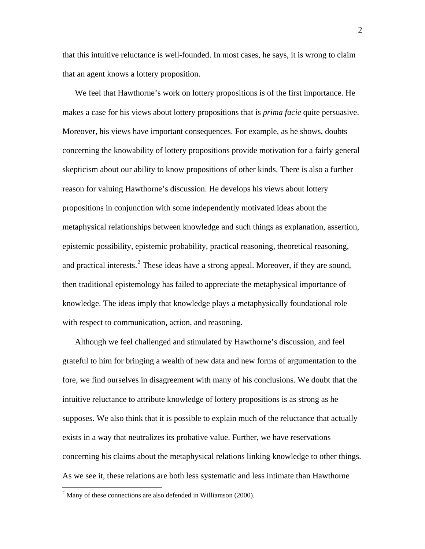that this intuitive reluctance is well-founded. In most cases, he says, it is wrong to claim that an agent knows a lottery proposition.

 We feel that Hawthorne's work on lottery propositions is of the first importance. He makes a case for his views about lottery propositions that is *prima facie* quite persuasive. Moreover, his views have important consequences. For example, as he shows, doubts concerning the knowability of lottery propositions provide motivation for a fairly general skepticism about our ability to know propositions of other kinds. There is also a further reason for valuing Hawthorne's discussion. He develops his views about lottery propositions in conjunction with some independently motivated ideas about the metaphysical relationships between knowledge and such things as explanation, assertion, epistemic possibility, epistemic probability, practical reasoning, theoretical reasoning, and practical interests. $2$  These ideas have a strong appeal. Moreover, if they are sound, then traditional epistemology has failed to appreciate the metaphysical importance of knowledge. The ideas imply that knowledge plays a metaphysically foundational role with respect to communication, action, and reasoning.

 Although we feel challenged and stimulated by Hawthorne's discussion, and feel grateful to him for bringing a wealth of new data and new forms of argumentation to the fore, we find ourselves in disagreement with many of his conclusions. We doubt that the intuitive reluctance to attribute knowledge of lottery propositions is as strong as he supposes. We also think that it is possible to explain much of the reluctance that actually exists in a way that neutralizes its probative value. Further, we have reservations concerning his claims about the metaphysical relations linking knowledge to other things. As we see it, these relations are both less systematic and less intimate than Hawthorne

<span id="page-1-0"></span> $2^2$  Many of these connections are also defended in Williamson (2000).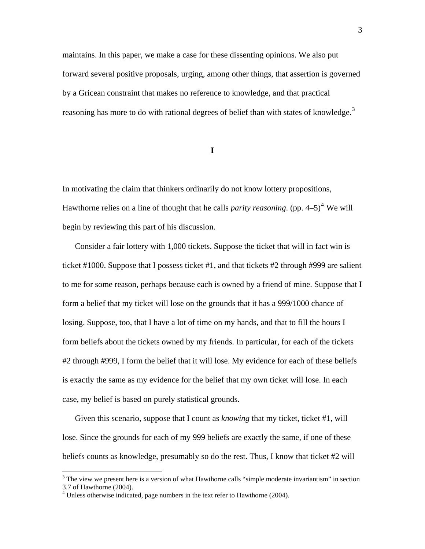maintains. In this paper, we make a case for these dissenting opinions. We also put forward several positive proposals, urging, among other things, that assertion is governed by a Gricean constraint that makes no reference to knowledge, and that practical reasoning has more to do with rational degrees of belief than with states of knowledge.<sup>[3](#page-2-0)</sup>

**I** 

In motivating the claim that thinkers ordinarily do not know lottery propositions, Hawthorne relies on a line of thought that he calls *parity reasoning*. (pp. [4](#page-2-1)–5)<sup>4</sup> We will begin by reviewing this part of his discussion.

 Consider a fair lottery with 1,000 tickets. Suppose the ticket that will in fact win is ticket #1000. Suppose that I possess ticket #1, and that tickets #2 through #999 are salient to me for some reason, perhaps because each is owned by a friend of mine. Suppose that I form a belief that my ticket will lose on the grounds that it has a 999/1000 chance of losing. Suppose, too, that I have a lot of time on my hands, and that to fill the hours I form beliefs about the tickets owned by my friends. In particular, for each of the tickets #2 through #999, I form the belief that it will lose. My evidence for each of these beliefs is exactly the same as my evidence for the belief that my own ticket will lose. In each case, my belief is based on purely statistical grounds.

Given this scenario, suppose that I count as *knowing* that my ticket, ticket #1, will lose. Since the grounds for each of my 999 beliefs are exactly the same, if one of these beliefs counts as knowledge, presumably so do the rest. Thus, I know that ticket #2 will

<span id="page-2-0"></span> $3$  The view we present here is a version of what Hawthorne calls "simple moderate invariantism" in section 3.7 of Hawthorne (2004).

<span id="page-2-1"></span> $4$  Unless otherwise indicated, page numbers in the text refer to Hawthorne (2004).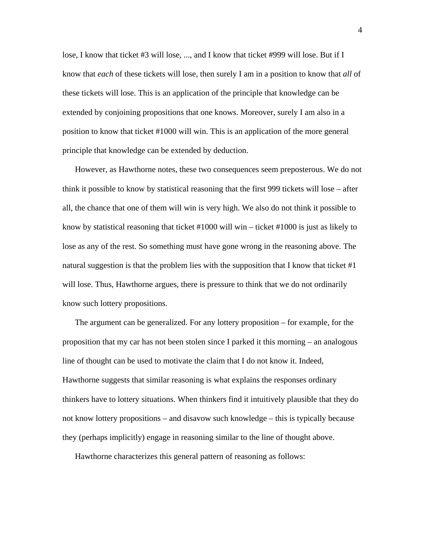lose, I know that ticket #3 will lose, ..., and I know that ticket #999 will lose. But if I know that *each* of these tickets will lose, then surely I am in a position to know that *all* of these tickets will lose. This is an application of the principle that knowledge can be extended by conjoining propositions that one knows. Moreover, surely I am also in a position to know that ticket #1000 will win. This is an application of the more general principle that knowledge can be extended by deduction.

 However, as Hawthorne notes, these two consequences seem preposterous. We do not think it possible to know by statistical reasoning that the first 999 tickets will lose – after all, the chance that one of them will win is very high. We also do not think it possible to know by statistical reasoning that ticket #1000 will win – ticket #1000 is just as likely to lose as any of the rest. So something must have gone wrong in the reasoning above. The natural suggestion is that the problem lies with the supposition that I know that ticket  $#1$ will lose. Thus, Hawthorne argues, there is pressure to think that we do not ordinarily know such lottery propositions.

 The argument can be generalized. For any lottery proposition – for example, for the proposition that my car has not been stolen since I parked it this morning – an analogous line of thought can be used to motivate the claim that I do not know it. Indeed, Hawthorne suggests that similar reasoning is what explains the responses ordinary thinkers have to lottery situations. When thinkers find it intuitively plausible that they do not know lottery propositions – and disavow such knowledge – this is typically because they (perhaps implicitly) engage in reasoning similar to the line of thought above.

Hawthorne characterizes this general pattern of reasoning as follows: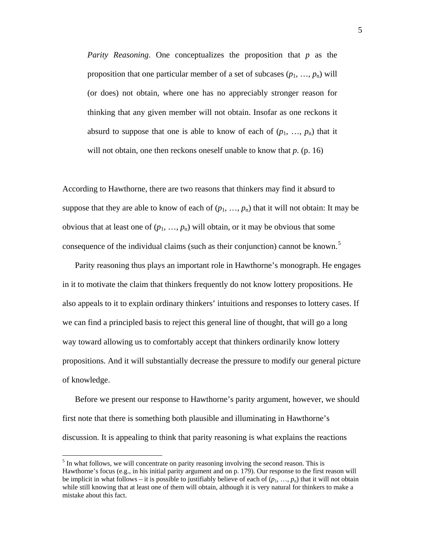*Parity Reasoning*. One conceptualizes the proposition that *p* as the proposition that one particular member of a set of subcases  $(p_1, ..., p_n)$  will (or does) not obtain, where one has no appreciably stronger reason for thinking that any given member will not obtain. Insofar as one reckons it absurd to suppose that one is able to know of each of  $(p_1, ..., p_n)$  that it will not obtain, one then reckons oneself unable to know that *p*. (p. 16)

According to Hawthorne, there are two reasons that thinkers may find it absurd to suppose that they are able to know of each of  $(p_1, ..., p_n)$  that it will not obtain: It may be obvious that at least one of  $(p_1, ..., p_n)$  will obtain, or it may be obvious that some consequence of the individual claims (such as their conjunction) cannot be known.<sup>[5](#page-4-0)</sup>

 Parity reasoning thus plays an important role in Hawthorne's monograph. He engages in it to motivate the claim that thinkers frequently do not know lottery propositions. He also appeals to it to explain ordinary thinkers' intuitions and responses to lottery cases. If we can find a principled basis to reject this general line of thought, that will go a long way toward allowing us to comfortably accept that thinkers ordinarily know lottery propositions. And it will substantially decrease the pressure to modify our general picture of knowledge.

 Before we present our response to Hawthorne's parity argument, however, we should first note that there is something both plausible and illuminating in Hawthorne's discussion. It is appealing to think that parity reasoning is what explains the reactions

<span id="page-4-0"></span><sup>&</sup>lt;sup>5</sup> In what follows, we will concentrate on parity reasoning involving the second reason. This is Hawthorne's focus (e.g., in his initial parity argument and on p. 179). Our response to the first reason will be implicit in what follows – it is possible to justifiably believe of each of  $(p_1, ..., p_n)$  that it will not obtain while still knowing that at least one of them will obtain, although it is very natural for thinkers to make a mistake about this fact.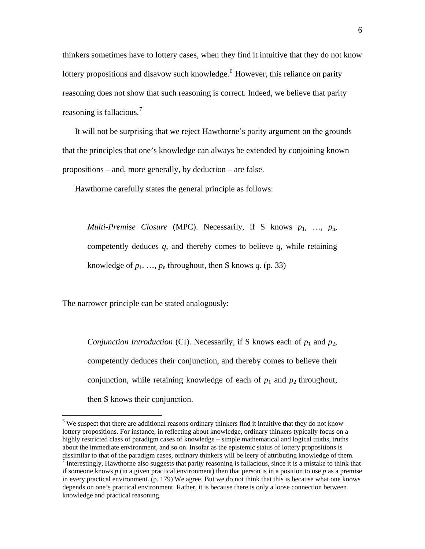thinkers sometimes have to lottery cases, when they find it intuitive that they do not know lottery propositions and disavow such knowledge.<sup>[6](#page-5-0)</sup> However, this reliance on parity reasoning does not show that such reasoning is correct. Indeed, we believe that parity reasoning is fallacious.<sup>[7](#page-5-1)</sup>

It will not be surprising that we reject Hawthorne's parity argument on the grounds that the principles that one's knowledge can always be extended by conjoining known propositions – and, more generally, by deduction – are false.

Hawthorne carefully states the general principle as follows:

*Multi-Premise Closure* (MPC). Necessarily, if S knows  $p_1$ , ...,  $p_n$ , competently deduces *q*, and thereby comes to believe *q*, while retaining knowledge of  $p_1$ , ...,  $p_n$  throughout, then S knows  $q$ . (p. 33)

The narrower principle can be stated analogously:

 $\overline{a}$ 

*Conjunction Introduction* (CI). Necessarily, if S knows each of  $p_1$  and  $p_2$ , competently deduces their conjunction, and thereby comes to believe their conjunction, while retaining knowledge of each of  $p_1$  and  $p_2$  throughout, then S knows their conjunction.

<span id="page-5-1"></span><span id="page-5-0"></span> $6$  We suspect that there are additional reasons ordinary thinkers find it intuitive that they do not know lottery propositions. For instance, in reflecting about knowledge, ordinary thinkers typically focus on a highly restricted class of paradigm cases of knowledge – simple mathematical and logical truths, truths about the immediate environment, and so on. Insofar as the epistemic status of lottery propositions is dissimilar to that of the paradigm cases, ordinary thinkers will be leery of attributing knowledge of them. 7 Interestingly, Hawthorne also suggests that parity reasoning is fallacious, since it is a mistake to think that if someone knows *p* (in a given practical environment) then that person is in a position to use *p* as a premise in every practical environment. (p. 179) We agree. But we do not think that this is because what one knows depends on one's practical environment. Rather, it is because there is only a loose connection between knowledge and practical reasoning.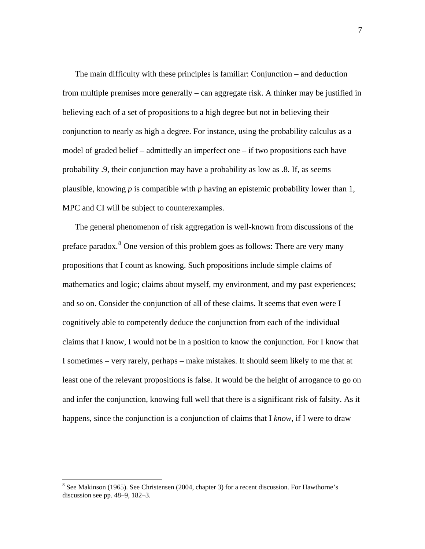The main difficulty with these principles is familiar: Conjunction – and deduction from multiple premises more generally – can aggregate risk. A thinker may be justified in believing each of a set of propositions to a high degree but not in believing their conjunction to nearly as high a degree. For instance, using the probability calculus as a model of graded belief – admittedly an imperfect one – if two propositions each have probability .9, their conjunction may have a probability as low as .8. If, as seems plausible, knowing *p* is compatible with *p* having an epistemic probability lower than 1, MPC and CI will be subject to counterexamples.

 The general phenomenon of risk aggregation is well-known from discussions of the preface paradox.<sup>[8](#page-6-0)</sup> One version of this problem goes as follows: There are very many propositions that I count as knowing. Such propositions include simple claims of mathematics and logic; claims about myself, my environment, and my past experiences; and so on. Consider the conjunction of all of these claims. It seems that even were I cognitively able to competently deduce the conjunction from each of the individual claims that I know, I would not be in a position to know the conjunction. For I know that I sometimes – very rarely, perhaps – make mistakes. It should seem likely to me that at least one of the relevant propositions is false. It would be the height of arrogance to go on and infer the conjunction, knowing full well that there is a significant risk of falsity. As it happens, since the conjunction is a conjunction of claims that I *know*, if I were to draw

<span id="page-6-0"></span> $8$  See Makinson (1965). See Christensen (2004, chapter 3) for a recent discussion. For Hawthorne's discussion see pp. 48–9, 182–3.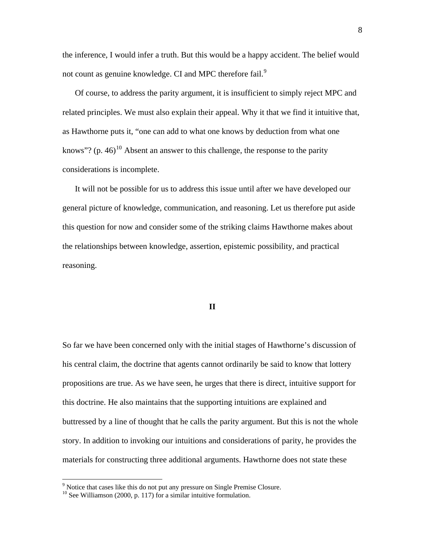the inference, I would infer a truth. But this would be a happy accident. The belief would not count as genuine knowledge. CI and MPC therefore fail.<sup>[9](#page-7-0)</sup>

 Of course, to address the parity argument, it is insufficient to simply reject MPC and related principles. We must also explain their appeal. Why it that we find it intuitive that, as Hawthorne puts it, "one can add to what one knows by deduction from what one knows"? (p. 46)<sup>[10](#page-7-1)</sup> Absent an answer to this challenge, the response to the parity considerations is incomplete.

 It will not be possible for us to address this issue until after we have developed our general picture of knowledge, communication, and reasoning. Let us therefore put aside this question for now and consider some of the striking claims Hawthorne makes about the relationships between knowledge, assertion, epistemic possibility, and practical reasoning.

### **II**

So far we have been concerned only with the initial stages of Hawthorne's discussion of his central claim, the doctrine that agents cannot ordinarily be said to know that lottery propositions are true. As we have seen, he urges that there is direct, intuitive support for this doctrine. He also maintains that the supporting intuitions are explained and buttressed by a line of thought that he calls the parity argument. But this is not the whole story. In addition to invoking our intuitions and considerations of parity, he provides the materials for constructing three additional arguments. Hawthorne does not state these

<sup>&</sup>lt;sup>9</sup> Notice that cases like this do not put any pressure on Single Premise Closure.

<span id="page-7-1"></span><span id="page-7-0"></span><sup>&</sup>lt;sup>10</sup> See Williamson (2000, p. 117) for a similar intuitive formulation.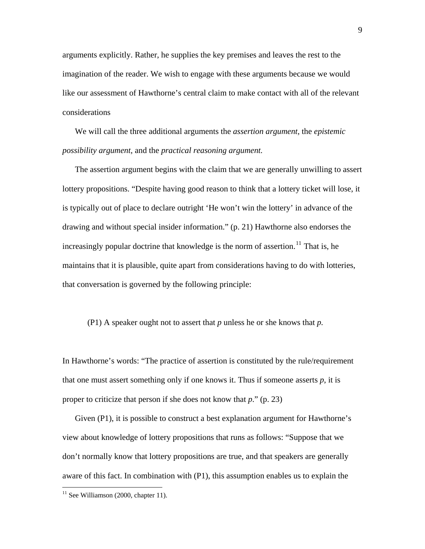arguments explicitly. Rather, he supplies the key premises and leaves the rest to the imagination of the reader. We wish to engage with these arguments because we would like our assessment of Hawthorne's central claim to make contact with all of the relevant considerations

 We will call the three additional arguments the *assertion argument*, the *epistemic possibility argument*, and the *practical reasoning argument.* 

 The assertion argument begins with the claim that we are generally unwilling to assert lottery propositions. "Despite having good reason to think that a lottery ticket will lose, it is typically out of place to declare outright 'He won't win the lottery' in advance of the drawing and without special insider information." (p. 21) Hawthorne also endorses the increasingly popular doctrine that knowledge is the norm of assertion.<sup>[11](#page-8-0)</sup> That is, he maintains that it is plausible, quite apart from considerations having to do with lotteries, that conversation is governed by the following principle:

### (P1) A speaker ought not to assert that *p* unless he or she knows that *p.*

In Hawthorne's words: "The practice of assertion is constituted by the rule/requirement that one must assert something only if one knows it. Thus if someone asserts *p*, it is proper to criticize that person if she does not know that *p*." (p. 23)

Given  $(P1)$ , it is possible to construct a best explanation argument for Hawthorne's view about knowledge of lottery propositions that runs as follows: "Suppose that we don't normally know that lottery propositions are true, and that speakers are generally aware of this fact. In combination with (P1), this assumption enables us to explain the

<span id="page-8-0"></span> $11$  See Williamson (2000, chapter 11).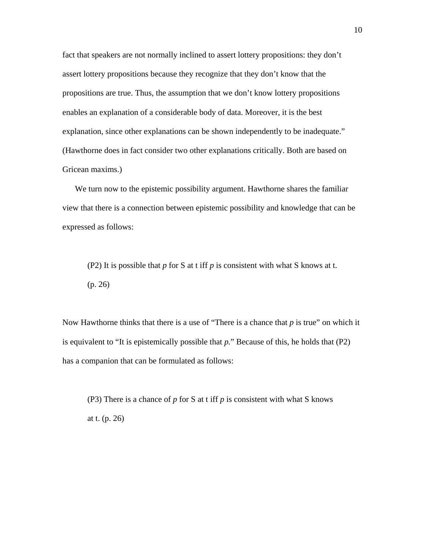fact that speakers are not normally inclined to assert lottery propositions: they don't assert lottery propositions because they recognize that they don't know that the propositions are true. Thus, the assumption that we don't know lottery propositions enables an explanation of a considerable body of data. Moreover, it is the best explanation, since other explanations can be shown independently to be inadequate." (Hawthorne does in fact consider two other explanations critically. Both are based on Gricean maxims.)

 We turn now to the epistemic possibility argument. Hawthorne shares the familiar view that there is a connection between epistemic possibility and knowledge that can be expressed as follows:

(P2) It is possible that *p* for S at t iff *p* is consistent with what S knows at t. (p. 26)

Now Hawthorne thinks that there is a use of "There is a chance that *p* is true" on which it is equivalent to "It is epistemically possible that *p.*" Because of this, he holds that (P2) has a companion that can be formulated as follows:

(P3) There is a chance of *p* for S at t iff *p* is consistent with what S knows at t. (p. 26)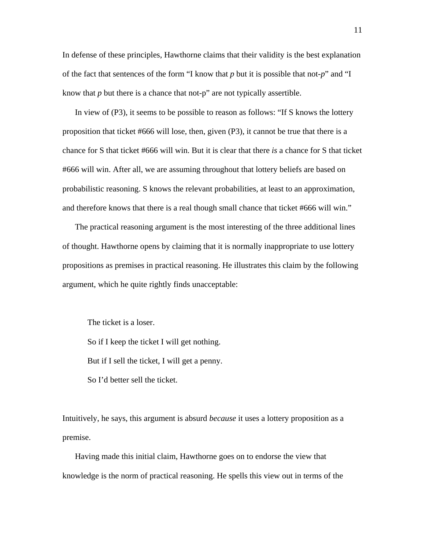In defense of these principles, Hawthorne claims that their validity is the best explanation of the fact that sentences of the form "I know that *p* but it is possible that not-*p*" and "I know that *p* but there is a chance that not-p" are not typically assertible.

 In view of (P3), it seems to be possible to reason as follows: "If S knows the lottery proposition that ticket #666 will lose, then, given (P3), it cannot be true that there is a chance for S that ticket #666 will win. But it is clear that there *is* a chance for S that ticket #666 will win. After all, we are assuming throughout that lottery beliefs are based on probabilistic reasoning. S knows the relevant probabilities, at least to an approximation, and therefore knows that there is a real though small chance that ticket #666 will win."

The practical reasoning argument is the most interesting of the three additional lines of thought. Hawthorne opens by claiming that it is normally inappropriate to use lottery propositions as premises in practical reasoning. He illustrates this claim by the following argument, which he quite rightly finds unacceptable:

The ticket is a loser.

So if I keep the ticket I will get nothing. But if I sell the ticket, I will get a penny.

So I'd better sell the ticket.

Intuitively, he says, this argument is absurd *because* it uses a lottery proposition as a premise.

 Having made this initial claim, Hawthorne goes on to endorse the view that knowledge is the norm of practical reasoning. He spells this view out in terms of the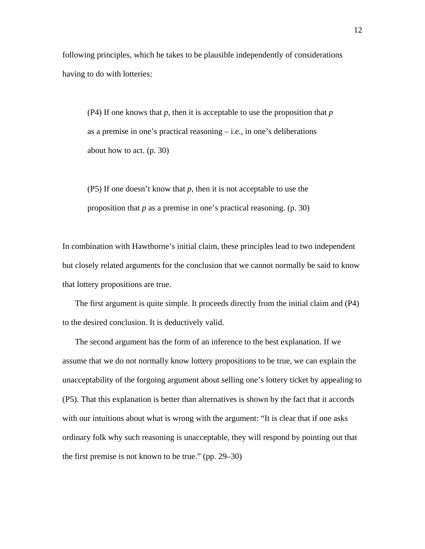following principles, which he takes to be plausible independently of considerations having to do with lotteries:

(P4) If one knows that *p,* then it is acceptable to use the proposition that *p*  as a premise in one's practical reasoning – i.e*.*, in one's deliberations about how to act. (p. 30)

(P5) If one doesn't know that *p,* then it is not acceptable to use the proposition that *p* as a premise in one's practical reasoning. (p. 30)

In combination with Hawthorne's initial claim, these principles lead to two independent but closely related arguments for the conclusion that we cannot normally be said to know that lottery propositions are true.

 The first argument is quite simple. It proceeds directly from the initial claim and (P4) to the desired conclusion. It is deductively valid.

 The second argument has the form of an inference to the best explanation. If we assume that we do not normally know lottery propositions to be true, we can explain the unacceptability of the forgoing argument about selling one's lottery ticket by appealing to (P5). That this explanation is better than alternatives is shown by the fact that it accords with our intuitions about what is wrong with the argument: "It is clear that if one asks ordinary folk why such reasoning is unacceptable, they will respond by pointing out that the first premise is not known to be true." (pp. 29–30)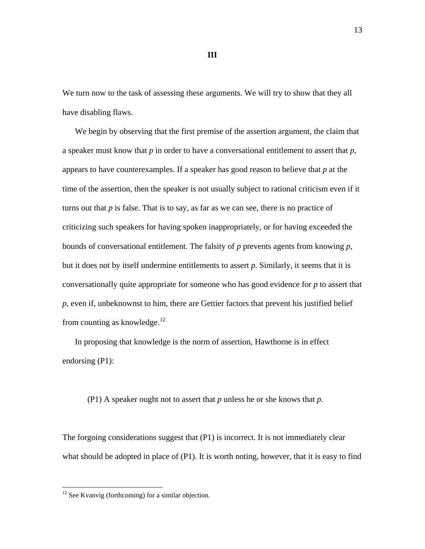We turn now to the task of assessing these arguments. We will try to show that they all have disabling flaws.

 We begin by observing that the first premise of the assertion argument, the claim that a speaker must know that *p* in order to have a conversational entitlement to assert that *p*, appears to have counterexamples. If a speaker has good reason to believe that *p* at the time of the assertion, then the speaker is not usually subject to rational criticism even if it turns out that *p* is false. That is to say, as far as we can see, there is no practice of criticizing such speakers for having spoken inappropriately, or for having exceeded the bounds of conversational entitlement. The falsity of *p* prevents agents from knowing *p*, but it does not by itself undermine entitlements to assert *p.* Similarly, it seems that it is conversationally quite appropriate for someone who has good evidence for *p* to assert that *p*, even if, unbeknownst to him, there are Gettier factors that prevent his justified belief from counting as knowledge. $^{12}$  $^{12}$  $^{12}$ 

 In proposing that knowledge is the norm of assertion, Hawthorne is in effect endorsing (P1):

(P1) A speaker ought not to assert that *p* unless he or she knows that *p.*

The forgoing considerations suggest that (P1) is incorrect. It is not immediately clear what should be adopted in place of (P1). It is worth noting, however, that it is easy to find

 $\overline{a}$ 

13

<span id="page-12-0"></span> $12$  See Kvanvig (forthcoming) for a similar objection.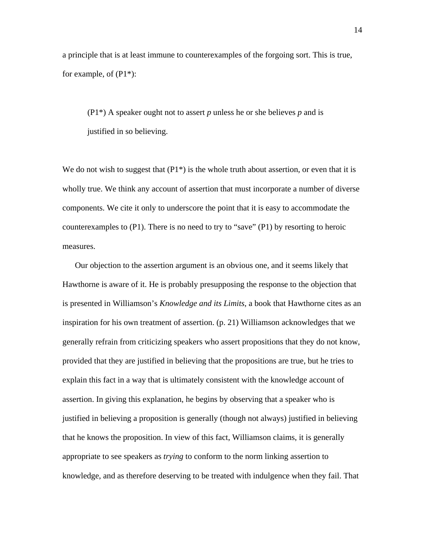a principle that is at least immune to counterexamples of the forgoing sort. This is true, for example, of  $(P1^*)$ :

(P1\*) A speaker ought not to assert *p* unless he or she believes *p* and is justified in so believing.

We do not wish to suggest that  $(P1^*)$  is the whole truth about assertion, or even that it is wholly true. We think any account of assertion that must incorporate a number of diverse components. We cite it only to underscore the point that it is easy to accommodate the counterexamples to  $(P1)$ . There is no need to try to "save"  $(P1)$  by resorting to heroic measures.

 Our objection to the assertion argument is an obvious one, and it seems likely that Hawthorne is aware of it. He is probably presupposing the response to the objection that is presented in Williamson's *Knowledge and its Limits*, a book that Hawthorne cites as an inspiration for his own treatment of assertion. (p. 21) Williamson acknowledges that we generally refrain from criticizing speakers who assert propositions that they do not know, provided that they are justified in believing that the propositions are true, but he tries to explain this fact in a way that is ultimately consistent with the knowledge account of assertion. In giving this explanation, he begins by observing that a speaker who is justified in believing a proposition is generally (though not always) justified in believing that he knows the proposition. In view of this fact, Williamson claims, it is generally appropriate to see speakers as *trying* to conform to the norm linking assertion to knowledge, and as therefore deserving to be treated with indulgence when they fail. That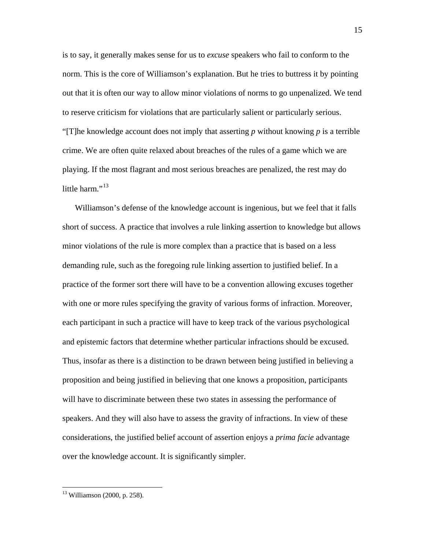is to say, it generally makes sense for us to *excuse* speakers who fail to conform to the norm. This is the core of Williamson's explanation. But he tries to buttress it by pointing out that it is often our way to allow minor violations of norms to go unpenalized. We tend to reserve criticism for violations that are particularly salient or particularly serious. "[T]he knowledge account does not imply that asserting *p* without knowing *p* is a terrible crime. We are often quite relaxed about breaches of the rules of a game which we are playing. If the most flagrant and most serious breaches are penalized, the rest may do little harm $^{\cdot,13}$  $^{\cdot,13}$  $^{\cdot,13}$ 

 Williamson's defense of the knowledge account is ingenious, but we feel that it falls short of success. A practice that involves a rule linking assertion to knowledge but allows minor violations of the rule is more complex than a practice that is based on a less demanding rule, such as the foregoing rule linking assertion to justified belief. In a practice of the former sort there will have to be a convention allowing excuses together with one or more rules specifying the gravity of various forms of infraction. Moreover, each participant in such a practice will have to keep track of the various psychological and epistemic factors that determine whether particular infractions should be excused. Thus, insofar as there is a distinction to be drawn between being justified in believing a proposition and being justified in believing that one knows a proposition, participants will have to discriminate between these two states in assessing the performance of speakers. And they will also have to assess the gravity of infractions. In view of these considerations, the justified belief account of assertion enjoys a *prima facie* advantage over the knowledge account. It is significantly simpler.

<span id="page-14-0"></span> $13$  Williamson (2000, p. 258).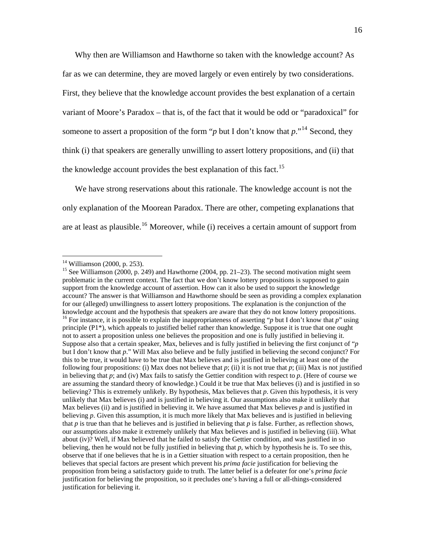Why then are Williamson and Hawthorne so taken with the knowledge account? As far as we can determine, they are moved largely or even entirely by two considerations. First, they believe that the knowledge account provides the best explanation of a certain variant of Moore's Paradox – that is, of the fact that it would be odd or "paradoxical" for someone to assert a proposition of the form "*p* but I don't know that  $p$ ."<sup>[14](#page-15-0)</sup> Second, they think (i) that speakers are generally unwilling to assert lottery propositions, and (ii) that the knowledge account provides the best explanation of this fact.<sup>[15](#page-15-1)</sup>

 We have strong reservations about this rationale. The knowledge account is not the only explanation of the Moorean Paradox. There are other, competing explanations that are at least as plausible.<sup>[16](#page-15-2)</sup> Moreover, while (i) receives a certain amount of support from

<span id="page-15-0"></span> $14$  Williamson (2000, p. 253).

<span id="page-15-2"></span><span id="page-15-1"></span><sup>&</sup>lt;sup>15</sup> See Williamson (2000, p. 249) and Hawthorne (2004, pp. 21–23). The second motivation might seem problematic in the current context. The fact that we don't know lottery propositions is supposed to gain support from the knowledge account of assertion. How can it also be used to support the knowledge account? The answer is that Williamson and Hawthorne should be seen as providing a complex explanation for our (alleged) unwillingness to assert lottery propositions. The explanation is the conjunction of the knowledge account and the hypothesis that speakers are aware that they do not know lottery propositions.<br><sup>16</sup> For instance, it is possible to explain the inappropriateness of asserting "*p* but I don't know that *p*" usin principle (P1\*), which appeals to justified belief rather than knowledge. Suppose it is true that one ought not to assert a proposition unless one believes the proposition and one is fully justified in believing it. Suppose also that a certain speaker, Max, believes and is fully justified in believing the first conjunct of "*p* but I don't know that *p*." Will Max also believe and be fully justified in believing the second conjunct? For this to be true, it would have to be true that Max believes and is justified in believing at least one of the following four propositions: (i) Max does not believe that  $p$ ; (ii) it is not true that  $p$ ; (iii) Max is not justified in believing that *p*; and (iv) Max fails to satisfy the Gettier condition with respect to *p*. (Here of course we are assuming the standard theory of knowledge.) Could it be true that Max believes (i) and is justified in so believing? This is extremely unlikely. By hypothesis, Max believes that *p*. Given this hypothesis, it is very unlikely that Max believes (i) and is justified in believing it. Our assumptions also make it unlikely that Max believes (ii) and is justified in believing it. We have assumed that Max believes *p* and is justified in believing *p*. Given this assumption, it is much more likely that Max believes and is justified in believing that *p* is true than that he believes and is justified in believing that *p* is false. Further, as reflection shows, our assumptions also make it extremely unlikely that Max believes and is justified in believing (iii). What about (iv)? Well, if Max believed that he failed to satisfy the Gettier condition, and was justified in so believing, then he would not be fully justified in believing that *p*, which by hypothesis he is. To see this, observe that if one believes that he is in a Gettier situation with respect to a certain proposition, then he believes that special factors are present which prevent his *prima facie* justification for believing the proposition from being a satisfactory guide to truth. The latter belief is a defeater for one's *prima facie* justification for believing the proposition, so it precludes one's having a full or all-things-considered justification for believing it.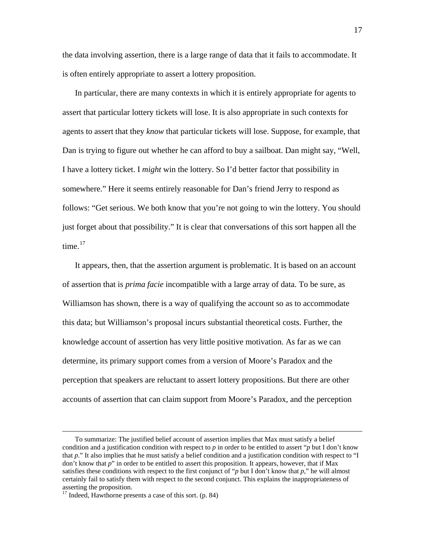the data involving assertion, there is a large range of data that it fails to accommodate. It is often entirely appropriate to assert a lottery proposition.

 In particular, there are many contexts in which it is entirely appropriate for agents to assert that particular lottery tickets will lose. It is also appropriate in such contexts for agents to assert that they *know* that particular tickets will lose. Suppose, for example, that Dan is trying to figure out whether he can afford to buy a sailboat. Dan might say, "Well, I have a lottery ticket. I *might* win the lottery. So I'd better factor that possibility in somewhere." Here it seems entirely reasonable for Dan's friend Jerry to respond as follows: "Get serious. We both know that you're not going to win the lottery. You should just forget about that possibility." It is clear that conversations of this sort happen all the time. $17$ 

 It appears, then, that the assertion argument is problematic. It is based on an account of assertion that is *prima facie* incompatible with a large array of data. To be sure, as Williamson has shown, there is a way of qualifying the account so as to accommodate this data; but Williamson's proposal incurs substantial theoretical costs. Further, the knowledge account of assertion has very little positive motivation. As far as we can determine, its primary support comes from a version of Moore's Paradox and the perception that speakers are reluctant to assert lottery propositions. But there are other accounts of assertion that can claim support from Moore's Paradox, and the perception

To summarize: The justified belief account of assertion implies that Max must satisfy a belief condition and a justification condition with respect to *p* in order to be entitled to assert "*p* but I don't know that *p*." It also implies that he must satisfy a belief condition and a justification condition with respect to "I don't know that *p*" in order to be entitled to assert this proposition. It appears, however, that if Max satisfies these conditions with respect to the first conjunct of "*p* but I don't know that *p*," he will almost certainly fail to satisfy them with respect to the second conjunct. This explains the inappropriateness of asserting the proposition.

<span id="page-16-0"></span> $17$  Indeed, Hawthorne presents a case of this sort. (p. 84)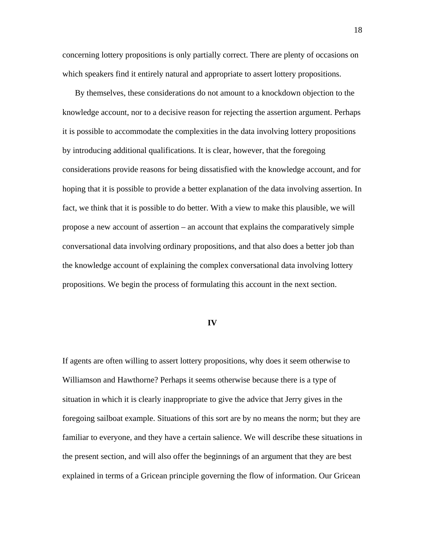concerning lottery propositions is only partially correct. There are plenty of occasions on which speakers find it entirely natural and appropriate to assert lottery propositions.

 By themselves, these considerations do not amount to a knockdown objection to the knowledge account, nor to a decisive reason for rejecting the assertion argument. Perhaps it is possible to accommodate the complexities in the data involving lottery propositions by introducing additional qualifications. It is clear, however, that the foregoing considerations provide reasons for being dissatisfied with the knowledge account, and for hoping that it is possible to provide a better explanation of the data involving assertion. In fact, we think that it is possible to do better. With a view to make this plausible, we will propose a new account of assertion – an account that explains the comparatively simple conversational data involving ordinary propositions, and that also does a better job than the knowledge account of explaining the complex conversational data involving lottery propositions. We begin the process of formulating this account in the next section.

### **IV**

If agents are often willing to assert lottery propositions, why does it seem otherwise to Williamson and Hawthorne? Perhaps it seems otherwise because there is a type of situation in which it is clearly inappropriate to give the advice that Jerry gives in the foregoing sailboat example. Situations of this sort are by no means the norm; but they are familiar to everyone, and they have a certain salience. We will describe these situations in the present section, and will also offer the beginnings of an argument that they are best explained in terms of a Gricean principle governing the flow of information. Our Gricean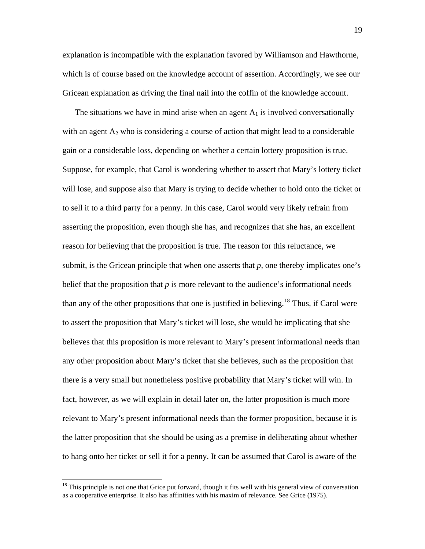explanation is incompatible with the explanation favored by Williamson and Hawthorne, which is of course based on the knowledge account of assertion. Accordingly, we see our Gricean explanation as driving the final nail into the coffin of the knowledge account.

The situations we have in mind arise when an agent  $A_1$  is involved conversationally with an agent  $A_2$  who is considering a course of action that might lead to a considerable gain or a considerable loss, depending on whether a certain lottery proposition is true. Suppose, for example, that Carol is wondering whether to assert that Mary's lottery ticket will lose, and suppose also that Mary is trying to decide whether to hold onto the ticket or to sell it to a third party for a penny. In this case, Carol would very likely refrain from asserting the proposition, even though she has, and recognizes that she has, an excellent reason for believing that the proposition is true. The reason for this reluctance, we submit, is the Gricean principle that when one asserts that *p,* one thereby implicates one's belief that the proposition that *p* is more relevant to the audience's informational needs than any of the other propositions that one is justified in believing.<sup>[18](#page-18-0)</sup> Thus, if Carol were to assert the proposition that Mary's ticket will lose, she would be implicating that she believes that this proposition is more relevant to Mary's present informational needs than any other proposition about Mary's ticket that she believes, such as the proposition that there is a very small but nonetheless positive probability that Mary's ticket will win. In fact, however, as we will explain in detail later on, the latter proposition is much more relevant to Mary's present informational needs than the former proposition, because it is the latter proposition that she should be using as a premise in deliberating about whether to hang onto her ticket or sell it for a penny. It can be assumed that Carol is aware of the

<span id="page-18-0"></span> $18$ <sup>18</sup> This principle is not one that Grice put forward, though it fits well with his general view of conversation as a cooperative enterprise. It also has affinities with his maxim of relevance. See Grice (1975).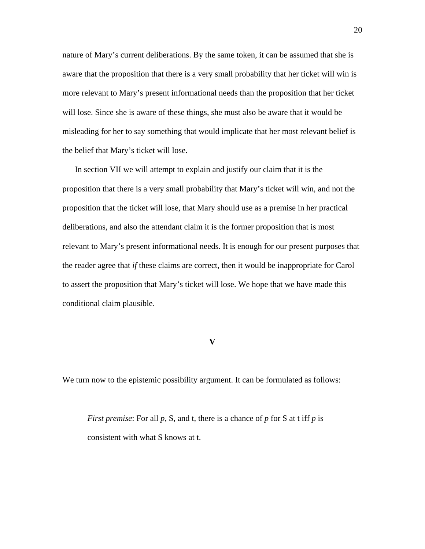nature of Mary's current deliberations. By the same token, it can be assumed that she is aware that the proposition that there is a very small probability that her ticket will win is more relevant to Mary's present informational needs than the proposition that her ticket will lose. Since she is aware of these things, she must also be aware that it would be misleading for her to say something that would implicate that her most relevant belief is the belief that Mary's ticket will lose.

 In section VII we will attempt to explain and justify our claim that it is the proposition that there is a very small probability that Mary's ticket will win, and not the proposition that the ticket will lose, that Mary should use as a premise in her practical deliberations, and also the attendant claim it is the former proposition that is most relevant to Mary's present informational needs. It is enough for our present purposes that the reader agree that *if* these claims are correct, then it would be inappropriate for Carol to assert the proposition that Mary's ticket will lose. We hope that we have made this conditional claim plausible.

### **V**

We turn now to the epistemic possibility argument. It can be formulated as follows:

*First premise*: For all *p,* S, and t, there is a chance of *p* for S at t iff *p* is consistent with what S knows at t.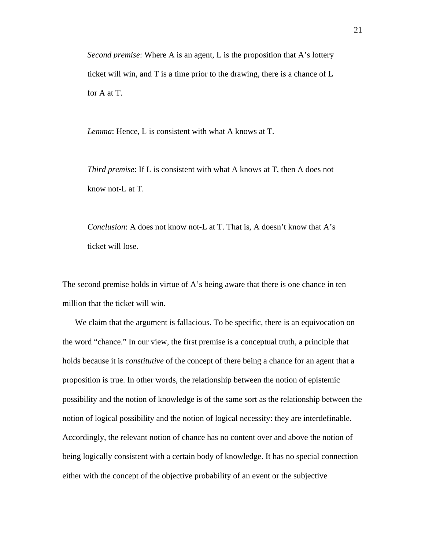*Second premise*: Where A is an agent, L is the proposition that A's lottery ticket will win, and T is a time prior to the drawing, there is a chance of L for A at T.

*Lemma*: Hence, L is consistent with what A knows at T.

*Third premise*: If L is consistent with what A knows at T, then A does not know not-L at T.

*Conclusion*: A does not know not-L at T. That is, A doesn't know that A's ticket will lose.

The second premise holds in virtue of A's being aware that there is one chance in ten million that the ticket will win.

 We claim that the argument is fallacious. To be specific, there is an equivocation on the word "chance." In our view, the first premise is a conceptual truth, a principle that holds because it is *constitutive* of the concept of there being a chance for an agent that a proposition is true. In other words, the relationship between the notion of epistemic possibility and the notion of knowledge is of the same sort as the relationship between the notion of logical possibility and the notion of logical necessity: they are interdefinable. Accordingly, the relevant notion of chance has no content over and above the notion of being logically consistent with a certain body of knowledge. It has no special connection either with the concept of the objective probability of an event or the subjective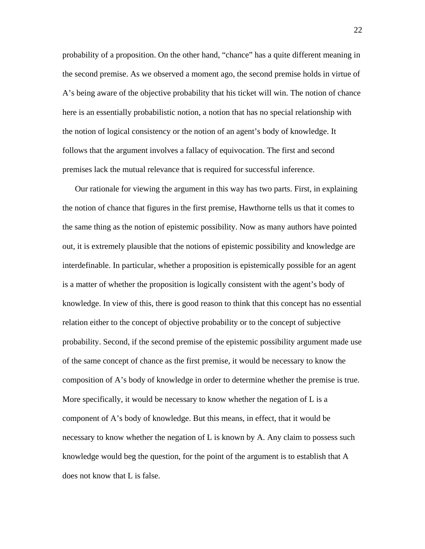probability of a proposition. On the other hand, "chance" has a quite different meaning in the second premise. As we observed a moment ago, the second premise holds in virtue of A's being aware of the objective probability that his ticket will win. The notion of chance here is an essentially probabilistic notion, a notion that has no special relationship with the notion of logical consistency or the notion of an agent's body of knowledge. It follows that the argument involves a fallacy of equivocation. The first and second premises lack the mutual relevance that is required for successful inference.

 Our rationale for viewing the argument in this way has two parts. First, in explaining the notion of chance that figures in the first premise, Hawthorne tells us that it comes to the same thing as the notion of epistemic possibility. Now as many authors have pointed out, it is extremely plausible that the notions of epistemic possibility and knowledge are interdefinable. In particular, whether a proposition is epistemically possible for an agent is a matter of whether the proposition is logically consistent with the agent's body of knowledge. In view of this, there is good reason to think that this concept has no essential relation either to the concept of objective probability or to the concept of subjective probability. Second, if the second premise of the epistemic possibility argument made use of the same concept of chance as the first premise, it would be necessary to know the composition of A's body of knowledge in order to determine whether the premise is true. More specifically, it would be necessary to know whether the negation of L is a component of A's body of knowledge. But this means, in effect, that it would be necessary to know whether the negation of L is known by A. Any claim to possess such knowledge would beg the question, for the point of the argument is to establish that A does not know that L is false.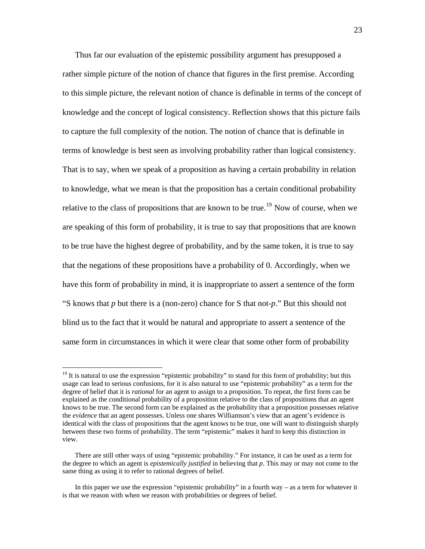Thus far our evaluation of the epistemic possibility argument has presupposed a rather simple picture of the notion of chance that figures in the first premise. According to this simple picture, the relevant notion of chance is definable in terms of the concept of knowledge and the concept of logical consistency. Reflection shows that this picture fails to capture the full complexity of the notion. The notion of chance that is definable in terms of knowledge is best seen as involving probability rather than logical consistency. That is to say, when we speak of a proposition as having a certain probability in relation to knowledge, what we mean is that the proposition has a certain conditional probability relative to the class of propositions that are known to be true.<sup>[19](#page-22-0)</sup> Now of course, when we are speaking of this form of probability, it is true to say that propositions that are known to be true have the highest degree of probability, and by the same token, it is true to say that the negations of these propositions have a probability of 0. Accordingly, when we have this form of probability in mind, it is inappropriate to assert a sentence of the form "S knows that *p* but there is a (non-zero) chance for S that not-*p*." But this should not blind us to the fact that it would be natural and appropriate to assert a sentence of the same form in circumstances in which it were clear that some other form of probability

<span id="page-22-0"></span><sup>&</sup>lt;sup>19</sup> It is natural to use the expression "epistemic probability" to stand for this form of probability; but this usage can lead to serious confusions, for it is also natural to use "epistemic probability" as a term for the degree of belief that it is *rational* for an agent to assign to a proposition. To repeat, the first form can be explained as the conditional probability of a proposition relative to the class of propositions that an agent knows to be true. The second form can be explained as the probability that a proposition possesses relative the *evidence* that an agent possesses. Unless one shares Williamson's view that an agent's evidence is identical with the class of propositions that the agent knows to be true, one will want to distinguish sharply between these two forms of probability. The term "epistemic" makes it hard to keep this distinction in view.

There are still other ways of using "epistemic probability." For instance, it can be used as a term for the degree to which an agent is *epistemically justified* in believing that *p*. This may or may not come to the same thing as using it to refer to rational degrees of belief.

In this paper we use the expression "epistemic probability" in a fourth way – as a term for whatever it is that we reason with when we reason with probabilities or degrees of belief.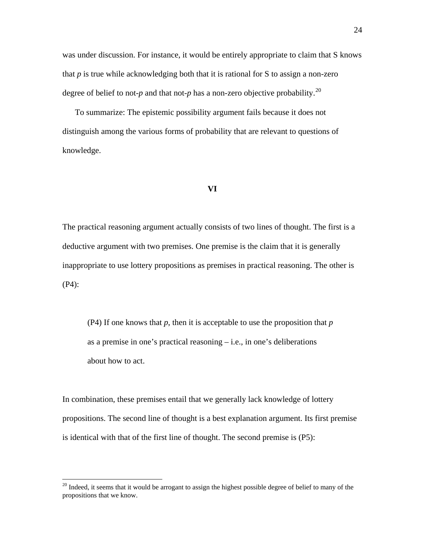was under discussion. For instance, it would be entirely appropriate to claim that S knows that  $p$  is true while acknowledging both that it is rational for S to assign a non-zero degree of belief to not-*p* and that not-*p* has a non-zero objective probability.<sup>[20](#page-23-0)</sup>

 To summarize: The epistemic possibility argument fails because it does not distinguish among the various forms of probability that are relevant to questions of knowledge.

### **VI**

The practical reasoning argument actually consists of two lines of thought. The first is a deductive argument with two premises. One premise is the claim that it is generally inappropriate to use lottery propositions as premises in practical reasoning. The other is (P4):

(P4) If one knows that *p*, then it is acceptable to use the proposition that *p*  as a premise in one's practical reasoning – i.e., in one's deliberations about how to act.

In combination, these premises entail that we generally lack knowledge of lottery propositions. The second line of thought is a best explanation argument. Its first premise is identical with that of the first line of thought. The second premise is (P5):

<span id="page-23-0"></span><sup>&</sup>lt;sup>20</sup> Indeed, it seems that it would be arrogant to assign the highest possible degree of belief to many of the propositions that we know.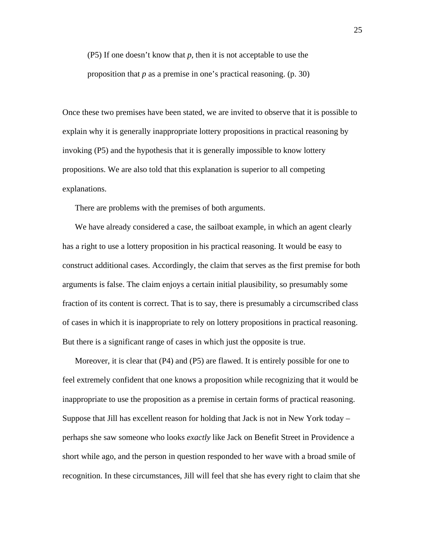(P5) If one doesn't know that *p,* then it is not acceptable to use the proposition that *p* as a premise in one's practical reasoning. (p. 30)

Once these two premises have been stated, we are invited to observe that it is possible to explain why it is generally inappropriate lottery propositions in practical reasoning by invoking (P5) and the hypothesis that it is generally impossible to know lottery propositions. We are also told that this explanation is superior to all competing explanations.

There are problems with the premises of both arguments.

 We have already considered a case, the sailboat example, in which an agent clearly has a right to use a lottery proposition in his practical reasoning. It would be easy to construct additional cases. Accordingly, the claim that serves as the first premise for both arguments is false. The claim enjoys a certain initial plausibility, so presumably some fraction of its content is correct. That is to say, there is presumably a circumscribed class of cases in which it is inappropriate to rely on lottery propositions in practical reasoning. But there is a significant range of cases in which just the opposite is true.

Moreover, it is clear that  $(P4)$  and  $(P5)$  are flawed. It is entirely possible for one to feel extremely confident that one knows a proposition while recognizing that it would be inappropriate to use the proposition as a premise in certain forms of practical reasoning. Suppose that Jill has excellent reason for holding that Jack is not in New York today – perhaps she saw someone who looks *exactly* like Jack on Benefit Street in Providence a short while ago, and the person in question responded to her wave with a broad smile of recognition. In these circumstances, Jill will feel that she has every right to claim that she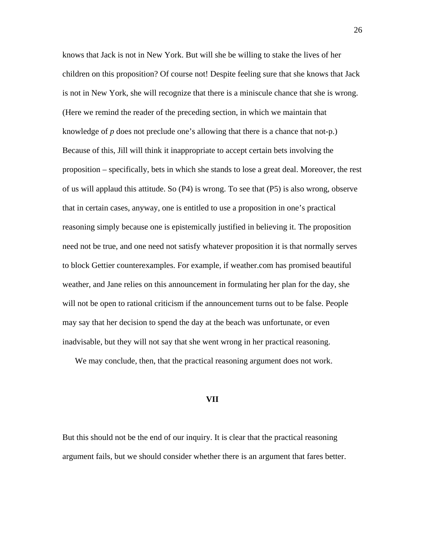knows that Jack is not in New York. But will she be willing to stake the lives of her children on this proposition? Of course not! Despite feeling sure that she knows that Jack is not in New York, she will recognize that there is a miniscule chance that she is wrong. (Here we remind the reader of the preceding section, in which we maintain that knowledge of *p* does not preclude one's allowing that there is a chance that not-p.) Because of this, Jill will think it inappropriate to accept certain bets involving the proposition – specifically, bets in which she stands to lose a great deal. Moreover, the rest of us will applaud this attitude. So (P4) is wrong. To see that (P5) is also wrong, observe that in certain cases, anyway, one is entitled to use a proposition in one's practical reasoning simply because one is epistemically justified in believing it. The proposition need not be true, and one need not satisfy whatever proposition it is that normally serves to block Gettier counterexamples. For example, if weather.com has promised beautiful weather, and Jane relies on this announcement in formulating her plan for the day, she will not be open to rational criticism if the announcement turns out to be false. People may say that her decision to spend the day at the beach was unfortunate, or even inadvisable, but they will not say that she went wrong in her practical reasoning.

We may conclude, then, that the practical reasoning argument does not work.

#### **VII**

But this should not be the end of our inquiry. It is clear that the practical reasoning argument fails, but we should consider whether there is an argument that fares better.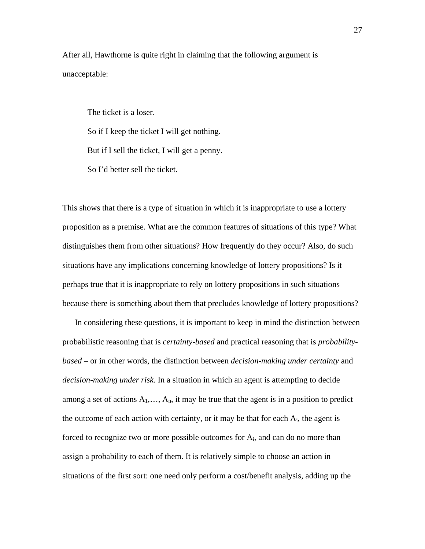After all, Hawthorne is quite right in claiming that the following argument is unacceptable:

The ticket is a loser.

So if I keep the ticket I will get nothing. But if I sell the ticket, I will get a penny.

So I'd better sell the ticket.

This shows that there is a type of situation in which it is inappropriate to use a lottery proposition as a premise. What are the common features of situations of this type? What distinguishes them from other situations? How frequently do they occur? Also, do such situations have any implications concerning knowledge of lottery propositions? Is it perhaps true that it is inappropriate to rely on lottery propositions in such situations because there is something about them that precludes knowledge of lottery propositions?

 In considering these questions, it is important to keep in mind the distinction between probabilistic reasoning that is *certainty-based* and practical reasoning that is *probabilitybased* – or in other words, the distinction between *decision-making under certainty* and *decision-making under risk*. In a situation in which an agent is attempting to decide among a set of actions  $A_1, \ldots, A_n$ , it may be true that the agent is in a position to predict the outcome of each action with certainty, or it may be that for each  $A_i$ , the agent is forced to recognize two or more possible outcomes for  $A_i$ , and can do no more than assign a probability to each of them. It is relatively simple to choose an action in situations of the first sort: one need only perform a cost/benefit analysis, adding up the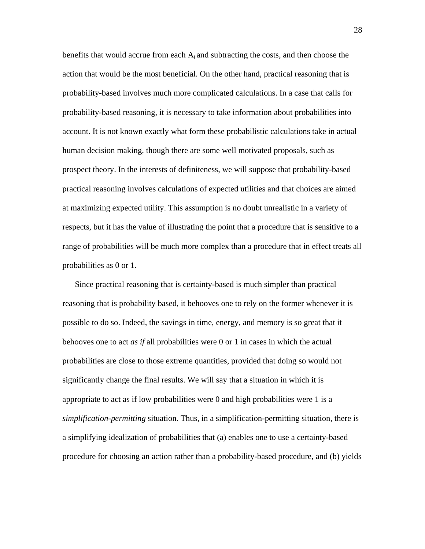benefits that would accrue from each  $A_i$  and subtracting the costs, and then choose the action that would be the most beneficial. On the other hand, practical reasoning that is probability-based involves much more complicated calculations. In a case that calls for probability-based reasoning, it is necessary to take information about probabilities into account. It is not known exactly what form these probabilistic calculations take in actual human decision making, though there are some well motivated proposals, such as prospect theory. In the interests of definiteness, we will suppose that probability-based practical reasoning involves calculations of expected utilities and that choices are aimed at maximizing expected utility. This assumption is no doubt unrealistic in a variety of respects, but it has the value of illustrating the point that a procedure that is sensitive to a range of probabilities will be much more complex than a procedure that in effect treats all probabilities as 0 or 1.

 Since practical reasoning that is certainty-based is much simpler than practical reasoning that is probability based, it behooves one to rely on the former whenever it is possible to do so. Indeed, the savings in time, energy, and memory is so great that it behooves one to act *as if* all probabilities were 0 or 1 in cases in which the actual probabilities are close to those extreme quantities, provided that doing so would not significantly change the final results. We will say that a situation in which it is appropriate to act as if low probabilities were 0 and high probabilities were 1 is a *simplification-permitting* situation. Thus, in a simplification-permitting situation, there is a simplifying idealization of probabilities that (a) enables one to use a certainty-based procedure for choosing an action rather than a probability-based procedure, and (b) yields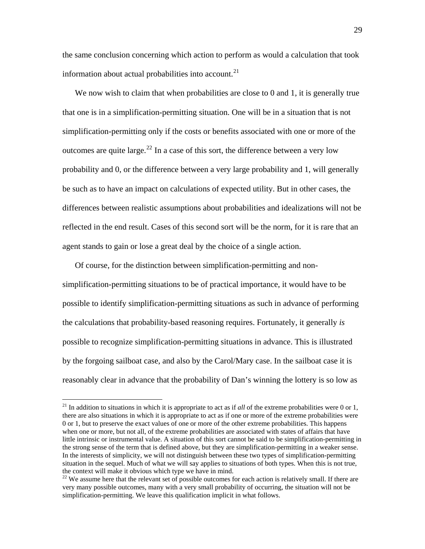the same conclusion concerning which action to perform as would a calculation that took information about actual probabilities into account.<sup>[21](#page-28-0)</sup>

We now wish to claim that when probabilities are close to 0 and 1, it is generally true that one is in a simplification-permitting situation. One will be in a situation that is not simplification-permitting only if the costs or benefits associated with one or more of the outcomes are quite large.<sup>[22](#page-28-1)</sup> In a case of this sort, the difference between a very low probability and 0, or the difference between a very large probability and 1, will generally be such as to have an impact on calculations of expected utility. But in other cases, the differences between realistic assumptions about probabilities and idealizations will not be reflected in the end result. Cases of this second sort will be the norm, for it is rare that an agent stands to gain or lose a great deal by the choice of a single action.

 Of course, for the distinction between simplification-permitting and nonsimplification-permitting situations to be of practical importance, it would have to be possible to identify simplification-permitting situations as such in advance of performing the calculations that probability-based reasoning requires. Fortunately, it generally *is* possible to recognize simplification-permitting situations in advance. This is illustrated by the forgoing sailboat case, and also by the Carol/Mary case. In the sailboat case it is reasonably clear in advance that the probability of Dan's winning the lottery is so low as

<span id="page-28-0"></span><sup>&</sup>lt;sup>21</sup> In addition to situations in which it is appropriate to act as if *all* of the extreme probabilities were 0 or 1, there are also situations in which it is appropriate to act as if one or more of the extreme probabilities were 0 or 1, but to preserve the exact values of one or more of the other extreme probabilities. This happens when one or more, but not all, of the extreme probabilities are associated with states of affairs that have little intrinsic or instrumental value. A situation of this sort cannot be said to be simplification-permitting in the strong sense of the term that is defined above, but they are simplification-permitting in a weaker sense. In the interests of simplicity, we will not distinguish between these two types of simplification-permitting situation in the sequel. Much of what we will say applies to situations of both types. When this is not true, the context will make it obvious which type we have in mind.

<span id="page-28-1"></span><sup>&</sup>lt;sup>22</sup> We assume here that the relevant set of possible outcomes for each action is relatively small. If there are very many possible outcomes, many with a very small probability of occurring, the situation will not be simplification-permitting. We leave this qualification implicit in what follows.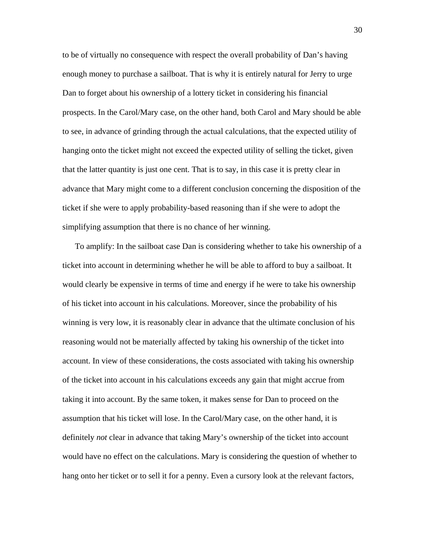to be of virtually no consequence with respect the overall probability of Dan's having enough money to purchase a sailboat. That is why it is entirely natural for Jerry to urge Dan to forget about his ownership of a lottery ticket in considering his financial prospects. In the Carol/Mary case, on the other hand, both Carol and Mary should be able to see, in advance of grinding through the actual calculations, that the expected utility of hanging onto the ticket might not exceed the expected utility of selling the ticket, given that the latter quantity is just one cent. That is to say, in this case it is pretty clear in advance that Mary might come to a different conclusion concerning the disposition of the ticket if she were to apply probability-based reasoning than if she were to adopt the simplifying assumption that there is no chance of her winning.

 To amplify: In the sailboat case Dan is considering whether to take his ownership of a ticket into account in determining whether he will be able to afford to buy a sailboat. It would clearly be expensive in terms of time and energy if he were to take his ownership of his ticket into account in his calculations. Moreover, since the probability of his winning is very low, it is reasonably clear in advance that the ultimate conclusion of his reasoning would not be materially affected by taking his ownership of the ticket into account. In view of these considerations, the costs associated with taking his ownership of the ticket into account in his calculations exceeds any gain that might accrue from taking it into account. By the same token, it makes sense for Dan to proceed on the assumption that his ticket will lose. In the Carol/Mary case, on the other hand, it is definitely *not* clear in advance that taking Mary's ownership of the ticket into account would have no effect on the calculations. Mary is considering the question of whether to hang onto her ticket or to sell it for a penny. Even a cursory look at the relevant factors,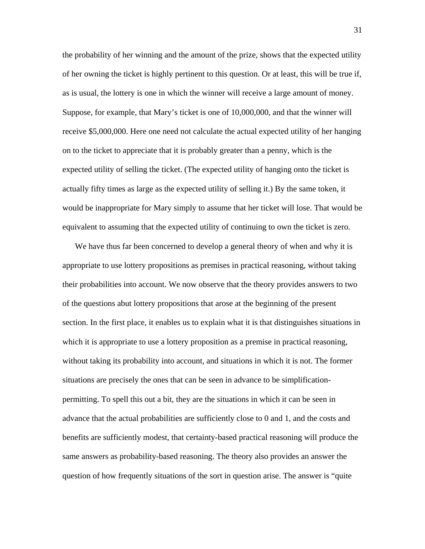the probability of her winning and the amount of the prize, shows that the expected utility of her owning the ticket is highly pertinent to this question. Or at least, this will be true if, as is usual, the lottery is one in which the winner will receive a large amount of money. Suppose, for example, that Mary's ticket is one of 10,000,000, and that the winner will receive \$5,000,000. Here one need not calculate the actual expected utility of her hanging on to the ticket to appreciate that it is probably greater than a penny, which is the expected utility of selling the ticket. (The expected utility of hanging onto the ticket is actually fifty times as large as the expected utility of selling it.) By the same token, it would be inappropriate for Mary simply to assume that her ticket will lose. That would be equivalent to assuming that the expected utility of continuing to own the ticket is zero.

We have thus far been concerned to develop a general theory of when and why it is appropriate to use lottery propositions as premises in practical reasoning, without taking their probabilities into account. We now observe that the theory provides answers to two of the questions abut lottery propositions that arose at the beginning of the present section. In the first place, it enables us to explain what it is that distinguishes situations in which it is appropriate to use a lottery proposition as a premise in practical reasoning, without taking its probability into account, and situations in which it is not. The former situations are precisely the ones that can be seen in advance to be simplificationpermitting. To spell this out a bit, they are the situations in which it can be seen in advance that the actual probabilities are sufficiently close to 0 and 1, and the costs and benefits are sufficiently modest, that certainty-based practical reasoning will produce the same answers as probability-based reasoning. The theory also provides an answer the question of how frequently situations of the sort in question arise. The answer is "quite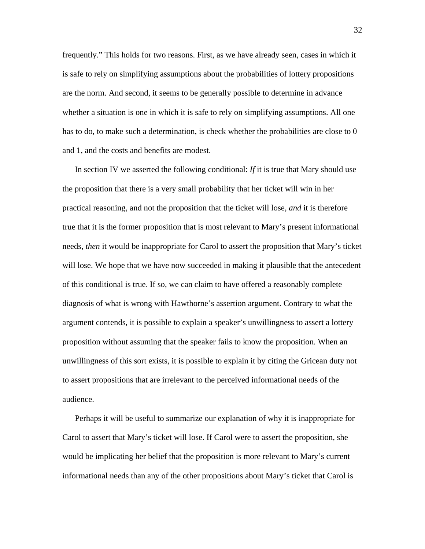frequently." This holds for two reasons. First, as we have already seen, cases in which it is safe to rely on simplifying assumptions about the probabilities of lottery propositions are the norm. And second, it seems to be generally possible to determine in advance whether a situation is one in which it is safe to rely on simplifying assumptions. All one has to do, to make such a determination, is check whether the probabilities are close to 0 and 1, and the costs and benefits are modest.

 In section IV we asserted the following conditional: *If* it is true that Mary should use the proposition that there is a very small probability that her ticket will win in her practical reasoning, and not the proposition that the ticket will lose, *and* it is therefore true that it is the former proposition that is most relevant to Mary's present informational needs, *then* it would be inappropriate for Carol to assert the proposition that Mary's ticket will lose. We hope that we have now succeeded in making it plausible that the antecedent of this conditional is true. If so, we can claim to have offered a reasonably complete diagnosis of what is wrong with Hawthorne's assertion argument. Contrary to what the argument contends, it is possible to explain a speaker's unwillingness to assert a lottery proposition without assuming that the speaker fails to know the proposition. When an unwillingness of this sort exists, it is possible to explain it by citing the Gricean duty not to assert propositions that are irrelevant to the perceived informational needs of the audience.

 Perhaps it will be useful to summarize our explanation of why it is inappropriate for Carol to assert that Mary's ticket will lose. If Carol were to assert the proposition, she would be implicating her belief that the proposition is more relevant to Mary's current informational needs than any of the other propositions about Mary's ticket that Carol is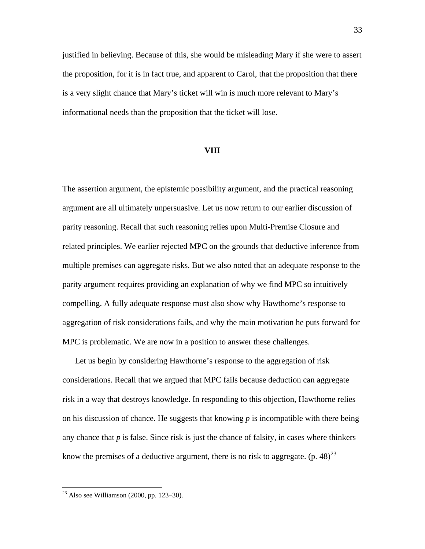justified in believing. Because of this, she would be misleading Mary if she were to assert the proposition, for it is in fact true, and apparent to Carol, that the proposition that there is a very slight chance that Mary's ticket will win is much more relevant to Mary's informational needs than the proposition that the ticket will lose.

### **VIII**

The assertion argument, the epistemic possibility argument, and the practical reasoning argument are all ultimately unpersuasive. Let us now return to our earlier discussion of parity reasoning. Recall that such reasoning relies upon Multi-Premise Closure and related principles. We earlier rejected MPC on the grounds that deductive inference from multiple premises can aggregate risks. But we also noted that an adequate response to the parity argument requires providing an explanation of why we find MPC so intuitively compelling. A fully adequate response must also show why Hawthorne's response to aggregation of risk considerations fails, and why the main motivation he puts forward for MPC is problematic. We are now in a position to answer these challenges.

 Let us begin by considering Hawthorne's response to the aggregation of risk considerations. Recall that we argued that MPC fails because deduction can aggregate risk in a way that destroys knowledge. In responding to this objection, Hawthorne relies on his discussion of chance. He suggests that knowing  $p$  is incompatible with there being any chance that *p* is false. Since risk is just the chance of falsity, in cases where thinkers know the premises of a deductive argument, there is no risk to aggregate.  $(p. 48)^{23}$  $(p. 48)^{23}$  $(p. 48)^{23}$ 

<span id="page-32-0"></span> $23$  Also see Williamson (2000, pp. 123–30).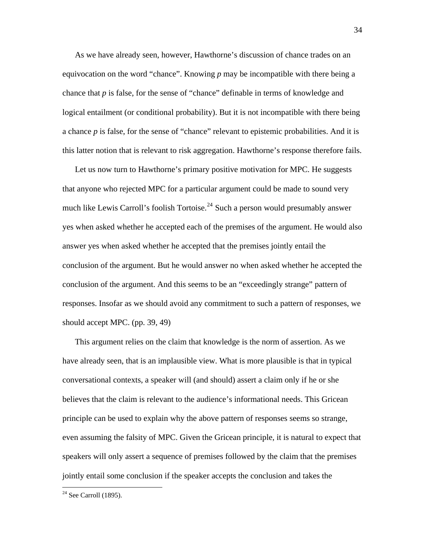As we have already seen, however, Hawthorne's discussion of chance trades on an equivocation on the word "chance". Knowing *p* may be incompatible with there being a chance that *p* is false, for the sense of "chance" definable in terms of knowledge and logical entailment (or conditional probability). But it is not incompatible with there being a chance *p* is false, for the sense of "chance" relevant to epistemic probabilities. And it is this latter notion that is relevant to risk aggregation. Hawthorne's response therefore fails.

 Let us now turn to Hawthorne's primary positive motivation for MPC. He suggests that anyone who rejected MPC for a particular argument could be made to sound very much like Lewis Carroll's foolish Tortoise.<sup>[24](#page-33-0)</sup> Such a person would presumably answer yes when asked whether he accepted each of the premises of the argument. He would also answer yes when asked whether he accepted that the premises jointly entail the conclusion of the argument. But he would answer no when asked whether he accepted the conclusion of the argument. And this seems to be an "exceedingly strange" pattern of responses. Insofar as we should avoid any commitment to such a pattern of responses, we should accept MPC. (pp. 39, 49)

 This argument relies on the claim that knowledge is the norm of assertion. As we have already seen, that is an implausible view. What is more plausible is that in typical conversational contexts, a speaker will (and should) assert a claim only if he or she believes that the claim is relevant to the audience's informational needs. This Gricean principle can be used to explain why the above pattern of responses seems so strange, even assuming the falsity of MPC. Given the Gricean principle, it is natural to expect that speakers will only assert a sequence of premises followed by the claim that the premises jointly entail some conclusion if the speaker accepts the conclusion and takes the

<span id="page-33-0"></span> $24$  See Carroll (1895).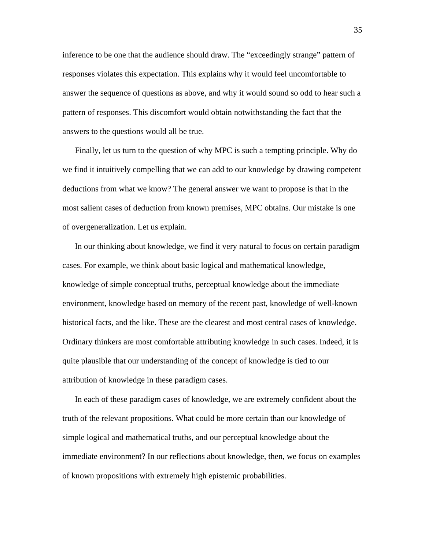inference to be one that the audience should draw. The "exceedingly strange" pattern of responses violates this expectation. This explains why it would feel uncomfortable to answer the sequence of questions as above, and why it would sound so odd to hear such a pattern of responses. This discomfort would obtain notwithstanding the fact that the answers to the questions would all be true.

 Finally, let us turn to the question of why MPC is such a tempting principle. Why do we find it intuitively compelling that we can add to our knowledge by drawing competent deductions from what we know? The general answer we want to propose is that in the most salient cases of deduction from known premises, MPC obtains. Our mistake is one of overgeneralization. Let us explain.

 In our thinking about knowledge, we find it very natural to focus on certain paradigm cases. For example, we think about basic logical and mathematical knowledge, knowledge of simple conceptual truths, perceptual knowledge about the immediate environment, knowledge based on memory of the recent past, knowledge of well-known historical facts, and the like. These are the clearest and most central cases of knowledge. Ordinary thinkers are most comfortable attributing knowledge in such cases. Indeed, it is quite plausible that our understanding of the concept of knowledge is tied to our attribution of knowledge in these paradigm cases.

 In each of these paradigm cases of knowledge, we are extremely confident about the truth of the relevant propositions. What could be more certain than our knowledge of simple logical and mathematical truths, and our perceptual knowledge about the immediate environment? In our reflections about knowledge, then, we focus on examples of known propositions with extremely high epistemic probabilities.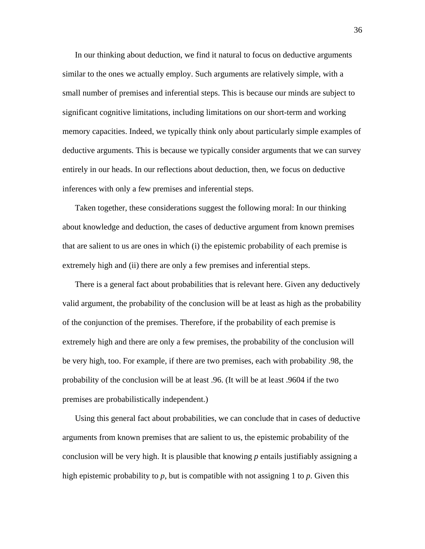In our thinking about deduction, we find it natural to focus on deductive arguments similar to the ones we actually employ. Such arguments are relatively simple, with a small number of premises and inferential steps. This is because our minds are subject to significant cognitive limitations, including limitations on our short-term and working memory capacities. Indeed, we typically think only about particularly simple examples of deductive arguments. This is because we typically consider arguments that we can survey entirely in our heads. In our reflections about deduction, then, we focus on deductive inferences with only a few premises and inferential steps.

 Taken together, these considerations suggest the following moral: In our thinking about knowledge and deduction, the cases of deductive argument from known premises that are salient to us are ones in which (i) the epistemic probability of each premise is extremely high and (ii) there are only a few premises and inferential steps.

 There is a general fact about probabilities that is relevant here. Given any deductively valid argument, the probability of the conclusion will be at least as high as the probability of the conjunction of the premises. Therefore, if the probability of each premise is extremely high and there are only a few premises, the probability of the conclusion will be very high, too. For example, if there are two premises, each with probability .98, the probability of the conclusion will be at least .96. (It will be at least .9604 if the two premises are probabilistically independent.)

 Using this general fact about probabilities, we can conclude that in cases of deductive arguments from known premises that are salient to us, the epistemic probability of the conclusion will be very high. It is plausible that knowing *p* entails justifiably assigning a high epistemic probability to *p*, but is compatible with not assigning 1 to *p*. Given this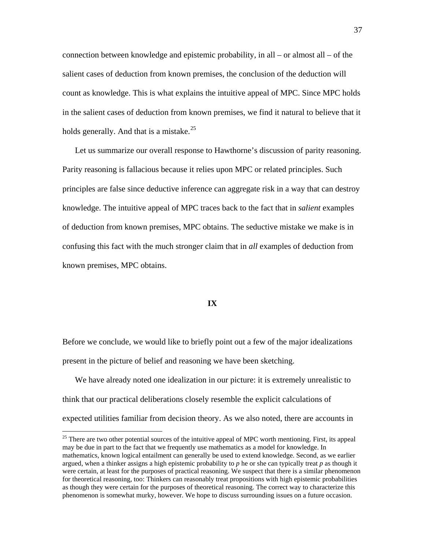connection between knowledge and epistemic probability, in all – or almost all – of the salient cases of deduction from known premises, the conclusion of the deduction will count as knowledge. This is what explains the intuitive appeal of MPC. Since MPC holds in the salient cases of deduction from known premises, we find it natural to believe that it holds generally. And that is a mistake.<sup>[25](#page-36-0)</sup>

 Let us summarize our overall response to Hawthorne's discussion of parity reasoning. Parity reasoning is fallacious because it relies upon MPC or related principles. Such principles are false since deductive inference can aggregate risk in a way that can destroy knowledge. The intuitive appeal of MPC traces back to the fact that in *salient* examples of deduction from known premises, MPC obtains. The seductive mistake we make is in confusing this fact with the much stronger claim that in *all* examples of deduction from known premises, MPC obtains.

#### **IX**

Before we conclude, we would like to briefly point out a few of the major idealizations present in the picture of belief and reasoning we have been sketching.

 We have already noted one idealization in our picture: it is extremely unrealistic to think that our practical deliberations closely resemble the explicit calculations of expected utilities familiar from decision theory. As we also noted, there are accounts in

<span id="page-36-0"></span><sup>&</sup>lt;sup>25</sup> There are two other potential sources of the intuitive appeal of MPC worth mentioning. First, its appeal may be due in part to the fact that we frequently use mathematics as a model for knowledge. In mathematics, known logical entailment can generally be used to extend knowledge. Second, as we earlier argued, when a thinker assigns a high epistemic probability to *p* he or she can typically treat *p* as though it were certain, at least for the purposes of practical reasoning. We suspect that there is a similar phenomenon for theoretical reasoning, too: Thinkers can reasonably treat propositions with high epistemic probabilities as though they were certain for the purposes of theoretical reasoning. The correct way to characterize this phenomenon is somewhat murky, however. We hope to discuss surrounding issues on a future occasion.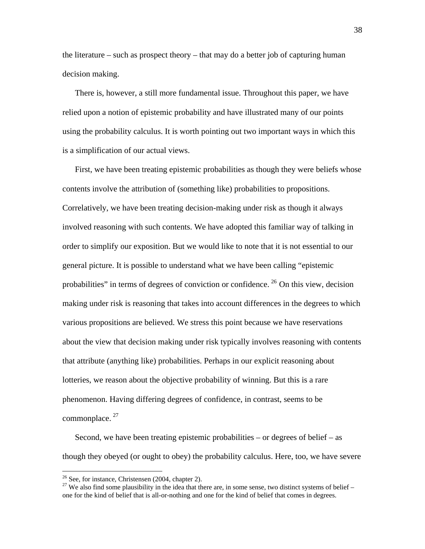the literature – such as prospect theory – that may do a better job of capturing human decision making.

 There is, however, a still more fundamental issue. Throughout this paper, we have relied upon a notion of epistemic probability and have illustrated many of our points using the probability calculus. It is worth pointing out two important ways in which this is a simplification of our actual views.

 First, we have been treating epistemic probabilities as though they were beliefs whose contents involve the attribution of (something like) probabilities to propositions. Correlatively, we have been treating decision-making under risk as though it always involved reasoning with such contents. We have adopted this familiar way of talking in order to simplify our exposition. But we would like to note that it is not essential to our general picture. It is possible to understand what we have been calling "epistemic probabilities" in terms of degrees of conviction or confidence.  $^{26}$  $^{26}$  $^{26}$  On this view, decision making under risk is reasoning that takes into account differences in the degrees to which various propositions are believed. We stress this point because we have reservations about the view that decision making under risk typically involves reasoning with contents that attribute (anything like) probabilities. Perhaps in our explicit reasoning about lotteries, we reason about the objective probability of winning. But this is a rare phenomenon. Having differing degrees of confidence, in contrast, seems to be commonplace.<sup>[27](#page-37-1)</sup>

 Second, we have been treating epistemic probabilities – or degrees of belief – as though they obeyed (or ought to obey) the probability calculus. Here, too, we have severe

<span id="page-37-1"></span><span id="page-37-0"></span><sup>&</sup>lt;sup>26</sup> See, for instance, Christensen (2004, chapter 2).<br><sup>27</sup> We also find some plausibility in the idea that there are, in some sense, two distinct systems of belief – one for the kind of belief that is all-or-nothing and one for the kind of belief that comes in degrees.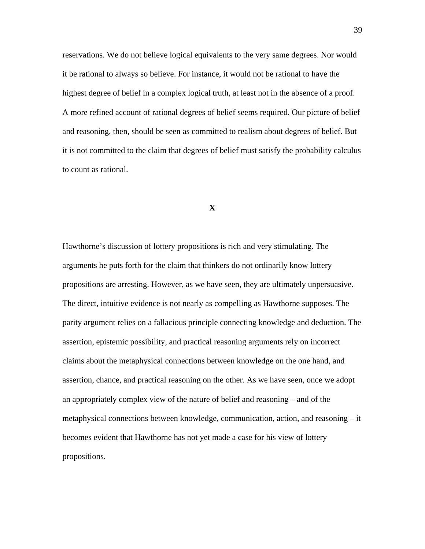reservations. We do not believe logical equivalents to the very same degrees. Nor would it be rational to always so believe. For instance, it would not be rational to have the highest degree of belief in a complex logical truth, at least not in the absence of a proof. A more refined account of rational degrees of belief seems required. Our picture of belief and reasoning, then, should be seen as committed to realism about degrees of belief. But it is not committed to the claim that degrees of belief must satisfy the probability calculus to count as rational.

## **X**

Hawthorne's discussion of lottery propositions is rich and very stimulating. The arguments he puts forth for the claim that thinkers do not ordinarily know lottery propositions are arresting. However, as we have seen, they are ultimately unpersuasive. The direct, intuitive evidence is not nearly as compelling as Hawthorne supposes. The parity argument relies on a fallacious principle connecting knowledge and deduction. The assertion, epistemic possibility, and practical reasoning arguments rely on incorrect claims about the metaphysical connections between knowledge on the one hand, and assertion, chance, and practical reasoning on the other. As we have seen, once we adopt an appropriately complex view of the nature of belief and reasoning – and of the metaphysical connections between knowledge, communication, action, and reasoning – it becomes evident that Hawthorne has not yet made a case for his view of lottery propositions.